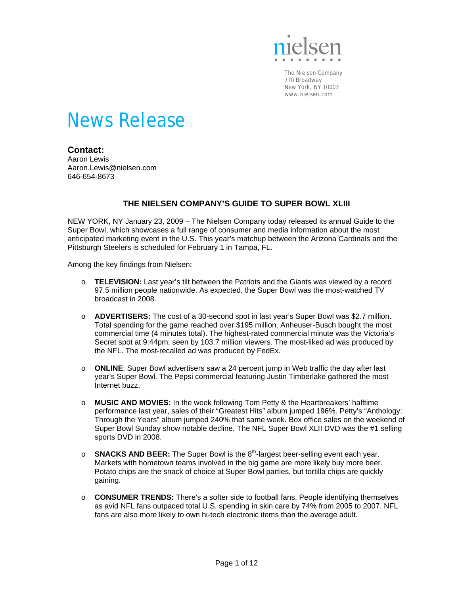

The Nielsen Company 770 Broadway New York, NY 10003 www.nielsen.com

# News Release

# **Contact:**

Aaron Lewis Aaron.Lewis@nielsen.com 646-654-8673

### **THE NIELSEN COMPANY'S GUIDE TO SUPER BOWL XLIII**

NEW YORK, NY January 23, 2009 – The Nielsen Company today released its annual Guide to the Super Bowl, which showcases a full range of consumer and media information about the most anticipated marketing event in the U.S. This year's matchup between the Arizona Cardinals and the Pittsburgh Steelers is scheduled for February 1 in Tampa, FL.

Among the key findings from Nielsen:

- o **TELEVISION:** Last year's tilt between the Patriots and the Giants was viewed by a record 97.5 million people nationwide. As expected, the Super Bowl was the most-watched TV broadcast in 2008.
- o **ADVERTISERS:** The cost of a 30-second spot in last year's Super Bowl was \$2.7 million. Total spending for the game reached over \$195 million. Anheuser-Busch bought the most commercial time (4 minutes total). The highest-rated commercial minute was the Victoria's Secret spot at 9:44pm, seen by 103.7 million viewers. The most-liked ad was produced by the NFL. The most-recalled ad was produced by FedEx.
- o **ONLINE**: Super Bowl advertisers saw a 24 percent jump in Web traffic the day after last year's Super Bowl. The Pepsi commercial featuring Justin Timberlake gathered the most Internet buzz.
- o **MUSIC AND MOVIES:** In the week following Tom Petty & the Heartbreakers' halftime performance last year, sales of their "Greatest Hits" album jumped 196%. Petty's "Anthology: Through the Years" album jumped 240% that same week. Box office sales on the weekend of Super Bowl Sunday show notable decline. The NFL Super Bowl XLII DVD was the #1 selling sports DVD in 2008.
- o **SNACKS AND BEER:** The Super Bowl is the 8<sup>th</sup>-largest beer-selling event each year. Markets with hometown teams involved in the big game are more likely buy more beer. Potato chips are the snack of choice at Super Bowl parties, but tortilla chips are quickly gaining.
- o **CONSUMER TRENDS:** There's a softer side to football fans. People identifying themselves as avid NFL fans outpaced total U.S. spending in skin care by 74% from 2005 to 2007. NFL fans are also more likely to own hi-tech electronic items than the average adult.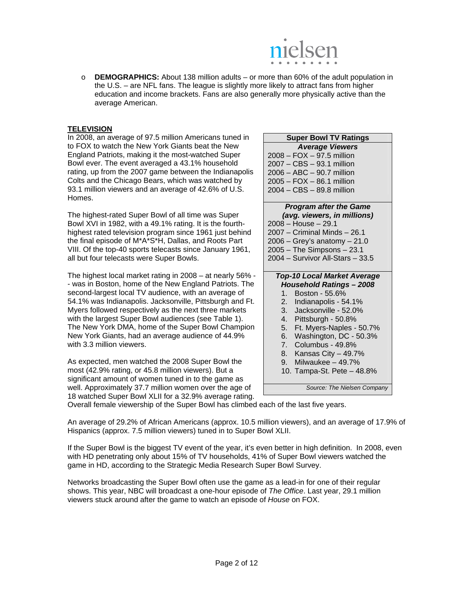

o **DEMOGRAPHICS:** About 138 million adults – or more than 60% of the adult population in the U.S. – are NFL fans. The league is slightly more likely to attract fans from higher education and income brackets. Fans are also generally more physically active than the average American.

#### **TELEVISION**

In 2008, an average of 97.5 million Americans tuned in to FOX to watch the New York Giants beat the New England Patriots, making it the most-watched Super Bowl ever. The event averaged a 43.1% household rating, up from the 2007 game between the Indianapolis Colts and the Chicago Bears, which was watched by 93.1 million viewers and an average of 42.6% of U.S. Homes.

The highest-rated Super Bowl of all time was Super Bowl XVI in 1982, with a 49.1% rating. It is the fourthhighest rated television program since 1961 just behind the final episode of M\*A\*S\*H, Dallas, and Roots Part VIII. Of the top-40 sports telecasts since January 1961, all but four telecasts were Super Bowls.

The highest local market rating in 2008 – at nearly 56% - - was in Boston, home of the New England Patriots. The second-largest local TV audience, with an average of 54.1% was Indianapolis. Jacksonville, Pittsburgh and Ft. Myers followed respectively as the next three markets with the largest Super Bowl audiences (see Table 1). The New York DMA, home of the Super Bowl Champion New York Giants, had an average audience of 44.9% with 3.3 million viewers.

As expected, men watched the 2008 Super Bowl the most (42.9% rating, or 45.8 million viewers). But a significant amount of women tuned in to the game as well. Approximately 37.7 million women over the age of 18 watched Super Bowl XLII for a 32.9% average rating.

| <b>Super Bowl TV Ratings</b> |
|------------------------------|
| <b>Average Viewers</b>       |
| 2008 - FOX - 97.5 million    |
| 2007 - CBS - 93.1 million    |
| 2006 - ABC - 90.7 million    |
| $2005 - FOX - 86.1$ million  |
| 2004 - CBS - 89.8 million    |
|                              |

# *Program after the Game*

- *(avg. viewers, in millions)*  2008 – House – 29.1
- 2007 Criminal Minds 26.1
- 2006 Grey's anatomy 21.0
- 2005 The Simpsons 23.1
- 2004 Survivor All-Stars 33.5

# *Top-10 Local Market Average*

- *Household Ratings 2008*
- 1. Boston 55.6%
- 2. Indianapolis 54.1%
- 3. Jacksonville 52.0%
- 4. Pittsburgh 50.8%
- 5. Ft. Myers-Naples 50.7%
- 6. Washington, DC 50.3%
- 7. Columbus 49.8%
- 8. Kansas City 49.7%
- 9. Milwaukee 49.7%
- 10. Tampa-St. Pete 48.8%

*Source: The Nielsen Company* 

Overall female viewership of the Super Bowl has climbed each of the last five years.

An average of 29.2% of African Americans (approx. 10.5 million viewers), and an average of 17.9% of Hispanics (approx. 7.5 million viewers) tuned in to Super Bowl XLII.

If the Super Bowl is the biggest TV event of the year, it's even better in high definition. In 2008, even with HD penetrating only about 15% of TV households, 41% of Super Bowl viewers watched the game in HD, according to the Strategic Media Research Super Bowl Survey.

Networks broadcasting the Super Bowl often use the game as a lead-in for one of their regular shows. This year, NBC will broadcast a one-hour episode of *The Office*. Last year, 29.1 million viewers stuck around after the game to watch an episode of *House* on FOX.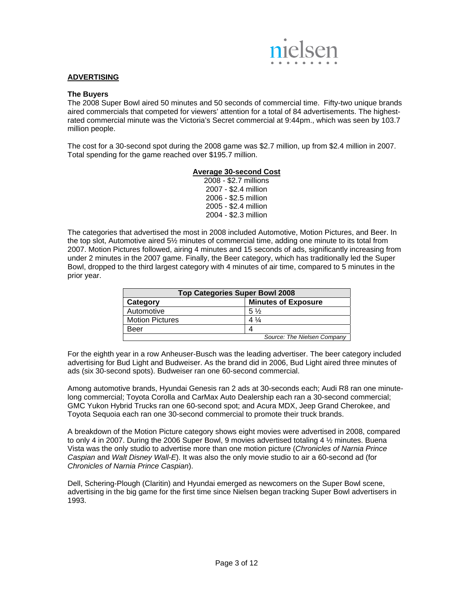

#### **ADVERTISING**

#### **The Buyers**

The 2008 Super Bowl aired 50 minutes and 50 seconds of commercial time. Fifty-two unique brands aired commercials that competed for viewers' attention for a total of 84 advertisements. The highestrated commercial minute was the Victoria's Secret commercial at 9:44pm., which was seen by 103.7 million people.

The cost for a 30-second spot during the 2008 game was \$2.7 million, up from \$2.4 million in 2007. Total spending for the game reached over \$195.7 million.

#### **Average 30-second Cost**

2008 - \$2.7 millions 2007 - \$2.4 million 2006 - \$2.5 million 2005 - \$2.4 million 2004 - \$2.3 million

The categories that advertised the most in 2008 included Automotive, Motion Pictures, and Beer. In the top slot, Automotive aired 5½ minutes of commercial time, adding one minute to its total from 2007. Motion Pictures followed, airing 4 minutes and 15 seconds of ads, significantly increasing from under 2 minutes in the 2007 game. Finally, the Beer category, which has traditionally led the Super Bowl, dropped to the third largest category with 4 minutes of air time, compared to 5 minutes in the prior year.

| <b>Top Categories Super Bowl 2008</b> |                             |  |  |
|---------------------------------------|-----------------------------|--|--|
| Category                              | <b>Minutes of Exposure</b>  |  |  |
| Automotive                            | $5\frac{1}{2}$              |  |  |
| <b>Motion Pictures</b>                | $4\frac{1}{4}$              |  |  |
| Beer                                  |                             |  |  |
|                                       | Source: The Nielsen Company |  |  |

For the eighth year in a row Anheuser-Busch was the leading advertiser. The beer category included advertising for Bud Light and Budweiser. As the brand did in 2006, Bud Light aired three minutes of ads (six 30-second spots). Budweiser ran one 60-second commercial.

Among automotive brands, Hyundai Genesis ran 2 ads at 30-seconds each; Audi R8 ran one minutelong commercial; Toyota Corolla and CarMax Auto Dealership each ran a 30-second commercial; GMC Yukon Hybrid Trucks ran one 60-second spot; and Acura MDX, Jeep Grand Cherokee, and Toyota Sequoia each ran one 30-second commercial to promote their truck brands.

A breakdown of the Motion Picture category shows eight movies were advertised in 2008, compared to only 4 in 2007. During the 2006 Super Bowl, 9 movies advertised totaling 4 ½ minutes. Buena Vista was the only studio to advertise more than one motion picture (*Chronicles of Narnia Prince Caspian* and *Walt Disney Wall-E*). It was also the only movie studio to air a 60-second ad (for *Chronicles of Narnia Prince Caspian*).

Dell, Schering-Plough (Claritin) and Hyundai emerged as newcomers on the Super Bowl scene, advertising in the big game for the first time since Nielsen began tracking Super Bowl advertisers in 1993.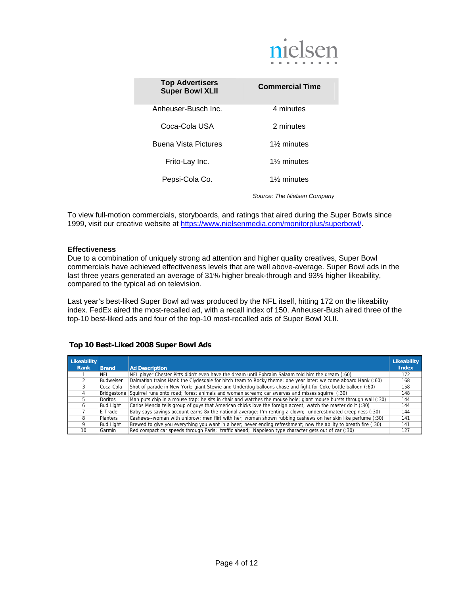

| <b>Top Advertisers</b><br><b>Super Bowl XLII</b> | <b>Commercial Time</b> |
|--------------------------------------------------|------------------------|
| Anheuser-Busch Inc.                              | 4 minutes              |
| Coca-Cola USA                                    | 2 minutes              |
| <b>Buena Vista Pictures</b>                      | 1% minutes             |
| Frito-Lay Inc.                                   | 1% minutes             |
| Pepsi-Cola Co.                                   | 1% minutes             |

*Source: The Nielsen Company*

To view full-motion commercials, storyboards, and ratings that aired during the Super Bowls since 1999, visit our creative website at https://www.nielsenmedia.com/monitorplus/superbowl/.

#### **Effectiveness**

Due to a combination of uniquely strong ad attention and higher quality creatives, Super Bowl commercials have achieved effectiveness levels that are well above-average. Super Bowl ads in the last three years generated an average of 31% higher break-through and 93% higher likeability, compared to the typical ad on television.

Last year's best-liked Super Bowl ad was produced by the NFL itself, hitting 172 on the likeability index. FedEx aired the most-recalled ad, with a recall index of 150. Anheuser-Bush aired three of the top-10 best-liked ads and four of the top-10 most-recalled ads of Super Bowl XLII.

#### **Top 10 Best-Liked 2008 Super Bowl Ads**

| Likeability<br>Rank | <b>Brand</b>     | <b>Ad Description</b>                                                                                             | <b>Likeability</b><br><b>Index</b> |
|---------------------|------------------|-------------------------------------------------------------------------------------------------------------------|------------------------------------|
|                     | NFL              | NFL player Chester Pitts didn't even have the dream until Ephraim Salaam told him the dream (:60)                 | 172                                |
|                     | Budweiser        | Dalmatian trains Hank the Clydesdale for hitch team to Rocky theme; one year later: welcome aboard Hank (:60)     | 168                                |
|                     | Coca-Cola        | Shot of parade in New York; giant Stewie and Underdog balloons chase and fight for Coke bottle balloon (:60)      | 158                                |
|                     | Bridgestone      | Squirrel runs onto road; forest animals and woman scream; car swerves and misses squirrel (:30)                   | 148                                |
|                     | Doritos          | Man puts chip in a mouse trap; he sits in chair and watches the mouse hole; giant mouse bursts through wall (:30) | 144                                |
|                     | <b>Bud Light</b> | Carlos Mencia tells group of guys that American chicks love the foreign accent; watch the master do it (:30)      | 144                                |
|                     | E-Trade          | Baby says savings account earns 8x the national average; I'm renting a clown; underestimated creepiness (:30)     | 144                                |
|                     | Planters         | Cashews--woman with unibrow; men flirt with her; woman shown rubbing cashews on her skin like perfume (:30)       | 141                                |
|                     | <b>Bud Light</b> | Brewed to give you everything you want in a beer; never ending refreshment; now the ability to breath fire (:30)  | 141                                |
| 10                  | Garmin           | Red compact car speeds through Paris; traffic ahead; Napoleon type character gets out of car (:30)                | 127                                |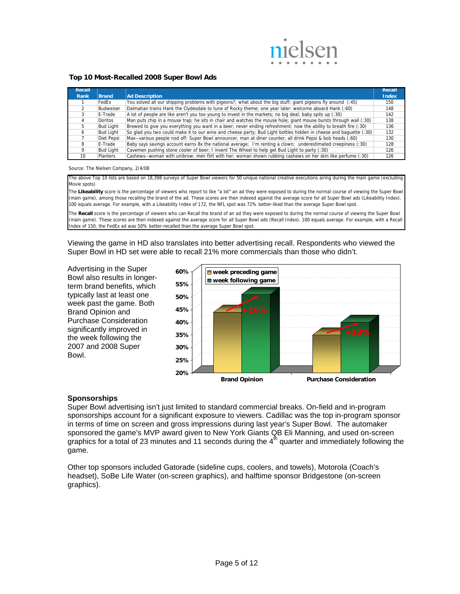

#### **Top 10 Most-Recalled 2008 Super Bowl Ads**

| Recall |                  |                                                                                                                   | Recall       |
|--------|------------------|-------------------------------------------------------------------------------------------------------------------|--------------|
| Rank   | <b>Brand</b>     | <b>Ad Description</b>                                                                                             | <b>Index</b> |
|        | FedEx            | You solved all our shipping problems with pigeons?; what about the big stuff; giant pigeons fly around (:45)      | 150          |
|        | Budweiser        | Dalmatian trains Hank the Clydesdale to tune of Rocky theme; one year later: welcome aboard Hank (:60)            | 148          |
|        | E-Trade          | A lot of people are like aren't you too young to invest in the markets; no big deal; baby spits up (:30)          | 142          |
|        | Doritos          | Man puts chip in a mouse trap; he sits in chair and watches the mouse hole; giant mouse bursts through wall (:30) | 138          |
|        | <b>Bud Light</b> | Brewed to give you everything you want in a beer; never ending refreshment; now the ability to breath fire (:30)  | 136          |
|        | <b>Bud Light</b> | So glad you two could make it to our wine and cheese party; Bud Light bottles hidden in cheese and baguette (:30) | 132          |
|        | Diet Pepsi       | Max--various people nod off: Super Bowl announcer, man at diner counter; all drink Pepsi & bob heads (:60)        | 130          |
|        | E-Trade          | Baby says savings account earns 8x the national average; I'm renting a clown; underestimated creepiness (:30)     | 128          |
|        | <b>Bud Light</b> | Cavemen pushing stone cooler of beer; I invent The Wheel to help get Bud Light to party (:30)                     | 126          |
| 10     | <b>Planters</b>  | Cashews--woman with unibrow; men flirt with her; woman shown rubbing cashews on her skin like perfume (:30)       | 126          |

#### Source: The Nielsen Company, 2/4/08

The above Top 10 lists are based on 18,398 surveys of Super Bowl viewers for 50 unique national creative executions airing during the main game (excluding Movie spots)

The Likeability score is the percentage of viewers who report to like "a lot" an ad they were exposed to during the normal course of viewing the Super Bowl (main game), among those recalling the brand of the ad. These scores are then indexed against the average score for all Super Bowl ads (Likeability Index). 100 equals average. For example, with a Likeability Index of 172, the NFL spot was 72% better-liked than the average Super Bowl spot.

The **Recall** score is the percentage of viewers who can Recall the brand of an ad they were exposed to during the normal course of viewing the Super Bowl (main game). These scores are then indexed against the average score for all Super Bowl ads (Recall Index). 100 equals average. For example, with a Recall Index of 150, the FedEx ad was 50% better-recalled than the average Super Bowl spot.

Viewing the game in HD also translates into better advertising recall. Respondents who viewed the Super Bowl in HD set were able to recall 21% more commercials than those who didn't.

Advertising in the Super Bowl also results in longerterm brand benefits, which typically last at least one week past the game. Both Brand Opinion and Purchase Consideration significantly improved in the week following the 2007 and 2008 Super Bowl.



#### **Sponsorships**

Super Bowl advertising isn't just limited to standard commercial breaks. On-field and in-program sponsorships account for a significant exposure to viewers. Cadillac was the top in-program sponsor in terms of time on screen and gross impressions during last year's Super Bowl. The automaker sponsored the game's MVP award given to New York Giants QB Eli Manning, and used on-screen graphics for a total of 23 minutes and 11 seconds during the  $4<sup>th</sup>$  quarter and immediately following the game.

Other top sponsors included Gatorade (sideline cups, coolers, and towels), Motorola (Coach's headset), SoBe Life Water (on-screen graphics), and halftime sponsor Bridgestone (on-screen graphics).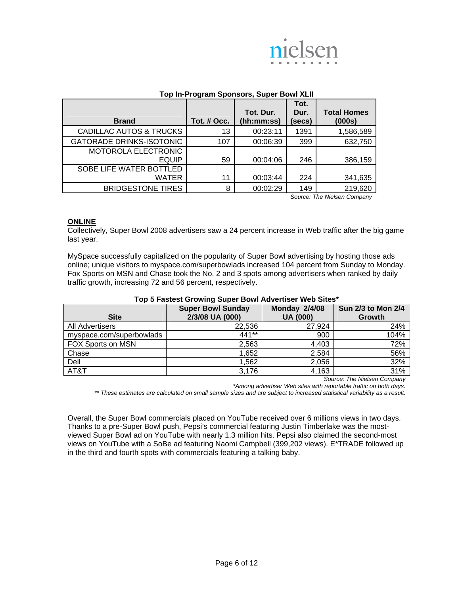

|                                    |             | Top In-Program Sponsors, Super Bowl XLII |        |                             |
|------------------------------------|-------------|------------------------------------------|--------|-----------------------------|
|                                    |             |                                          | Tot.   |                             |
|                                    |             | Tot. Dur.                                | Dur.   | <b>Total Homes</b>          |
| <b>Brand</b>                       | Tot. # Occ. | (hh:mm:ss)                               | (secs) | (000s)                      |
| <b>CADILLAC AUTOS &amp; TRUCKS</b> | 13          | 00:23:11                                 | 1391   | 1,586,589                   |
| <b>GATORADE DRINKS-ISOTONIC</b>    | 107         | 00:06:39                                 | 399    | 632,750                     |
| MOTOROLA ELECTRONIC                |             |                                          |        |                             |
| <b>EQUIP</b>                       | 59          | 00:04:06                                 | 246    | 386,159                     |
| SOBE LIFE WATER BOTTLED            |             |                                          |        |                             |
| WATER                              | 11          | 00:03:44                                 | 224    | 341,635                     |
| <b>BRIDGESTONE TIRES</b>           | 8           | 00:02:29                                 | 149    | 219,620                     |
|                                    |             |                                          |        | Cource: The Niclean Company |

#### **Top In-Program Sponsors, Super Bowl XLII**

*Source: The Nielsen Company* 

#### **ONLINE**

Collectively, Super Bowl 2008 advertisers saw a 24 percent increase in Web traffic after the big game last year.

MySpace successfully capitalized on the popularity of Super Bowl advertising by hosting those ads online; unique visitors to myspace.com/superbowlads increased 104 percent from Sunday to Monday. Fox Sports on MSN and Chase took the No. 2 and 3 spots among advertisers when ranked by daily traffic growth, increasing 72 and 56 percent, respectively.

| <b>Site</b>              | <b>Super Bowl Sunday</b><br>2/3/08 UA (000) | <b>Monday 2/4/08</b><br><b>UA (000)</b> | Sun 2/3 to Mon 2/4<br>Growth |
|--------------------------|---------------------------------------------|-----------------------------------------|------------------------------|
| All Advertisers          | 22,536                                      | 27,924                                  | 24%                          |
| myspace.com/superbowlads | 441**                                       | 900                                     | 104%                         |
| FOX Sports on MSN        | 2,563                                       | 4,403                                   | 72%                          |
| Chase                    | 1,652                                       | 2,584                                   | 56%                          |
| Dell                     | 1,562                                       | 2,056                                   | 32%                          |
| AT&T                     | 3,176                                       | 4,163                                   | 31%                          |

#### **Top 5 Fastest Growing Super Bowl Advertiser Web Sites\***

*Source: The Nielsen Company* 

*\*Among advertiser Web sites with reportable traffic on both days.* 

*\*\* These estimates are calculated on small sample sizes and are subject to increased statistical variability as a result.* 

Overall, the Super Bowl commercials placed on YouTube received over 6 millions views in two days. Thanks to a pre-Super Bowl push, Pepsi's commercial featuring Justin Timberlake was the mostviewed Super Bowl ad on YouTube with nearly 1.3 million hits. Pepsi also claimed the second-most views on YouTube with a SoBe ad featuring Naomi Campbell (399,202 views). E\*TRADE followed up in the third and fourth spots with commercials featuring a talking baby.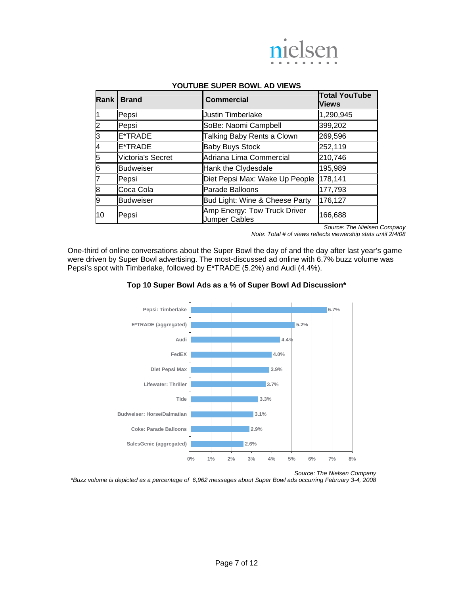

| Rank | <b>Brand</b>      | <b>Commercial</b>                                    | <b>Total YouTube</b><br><b>Views</b> |
|------|-------------------|------------------------------------------------------|--------------------------------------|
|      | Pepsi             | <b>Justin Timberlake</b>                             | 1,290,945                            |
| 2    | Pepsi             | SoBe: Naomi Campbell                                 | 399,202                              |
| ß    | E*TRADE           | Talking Baby Rents a Clown                           | 269,596                              |
| 4    | E*TRADE           | <b>Baby Buys Stock</b>                               | 252,119                              |
| 5    | Victoria's Secret | Adriana Lima Commercial                              | 210,746                              |
| 6    | <b>Budweiser</b>  | Hank the Clydesdale                                  | 195,989                              |
| 7    | Pepsi             | Diet Pepsi Max: Wake Up People                       | 178,141                              |
| 8    | Coca Cola         | Parade Balloons                                      | 177,793                              |
| 9    | <b>Budweiser</b>  | Bud Light: Wine & Cheese Party                       | 176,127                              |
| 10   | Pepsi             | Amp Energy: Tow Truck Driver<br><b>Jumper Cables</b> | 166,688                              |

#### **YOUTUBE SUPER BOWL AD VIEWS**

*Source: The Nielsen Company* 

*Note: Total # of views reflects viewership stats until 2/4/08* 

One-third of online conversations about the Super Bowl the day of and the day after last year's game were driven by Super Bowl advertising. The most-discussed ad online with 6.7% buzz volume was Pepsi's spot with Timberlake, followed by E\*TRADE (5.2%) and Audi (4.4%).



#### **Top 10 Super Bowl Ads as a % of Super Bowl Ad Discussion\***

*Source: The Nielsen Company* 

*\*Buzz volume is depicted as a percentage of 6,962 messages about Super Bowl ads occurring February 3-4, 2008*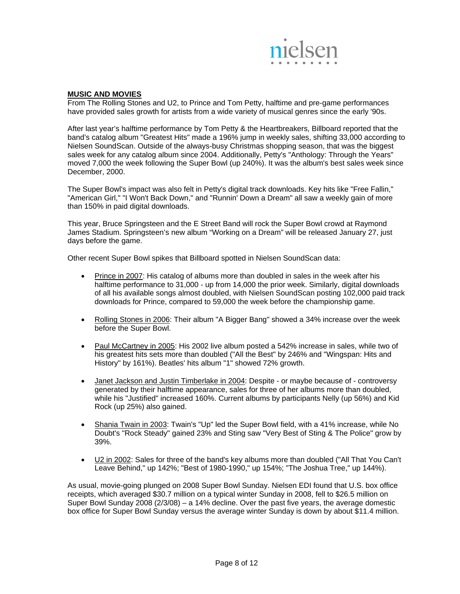

#### **MUSIC AND MOVIES**

From The Rolling Stones and U2, to Prince and Tom Petty, halftime and pre-game performances have provided sales growth for artists from a wide variety of musical genres since the early '90s.

After last year's halftime performance by Tom Petty & the Heartbreakers, Billboard reported that the band's catalog album "Greatest Hits" made a 196% jump in weekly sales, shifting 33,000 according to Nielsen SoundScan. Outside of the always-busy Christmas shopping season, that was the biggest sales week for any catalog album since 2004. Additionally, Petty's "Anthology: Through the Years" moved 7,000 the week following the Super Bowl (up 240%). It was the album's best sales week since December, 2000.

The Super Bowl's impact was also felt in Petty's digital track downloads. Key hits like "Free Fallin," "American Girl," "I Won't Back Down," and "Runnin' Down a Dream" all saw a weekly gain of more than 150% in paid digital downloads.

This year, Bruce Springsteen and the E Street Band will rock the Super Bowl crowd at Raymond James Stadium. Springsteen's new album "Working on a Dream" will be released January 27, just days before the game.

Other recent Super Bowl spikes that Billboard spotted in Nielsen SoundScan data:

- Prince in 2007: His catalog of albums more than doubled in sales in the week after his halftime performance to 31,000 - up from 14,000 the prior week. Similarly, digital downloads of all his available songs almost doubled, with Nielsen SoundScan posting 102,000 paid track downloads for Prince, compared to 59,000 the week before the championship game.
- Rolling Stones in 2006: Their album "A Bigger Bang" showed a 34% increase over the week before the Super Bowl.
- Paul McCartney in 2005: His 2002 live album posted a 542% increase in sales, while two of his greatest hits sets more than doubled ("All the Best" by 246% and "Wingspan: Hits and History" by 161%). Beatles' hits album "1" showed 72% growth.
- Janet Jackson and Justin Timberlake in 2004: Despite or maybe because of controversy generated by their halftime appearance, sales for three of her albums more than doubled, while his "Justified" increased 160%. Current albums by participants Nelly (up 56%) and Kid Rock (up 25%) also gained.
- Shania Twain in 2003: Twain's "Up" led the Super Bowl field, with a 41% increase, while No Doubt's "Rock Steady" gained 23% and Sting saw "Very Best of Sting & The Police" grow by 39%.
- U2 in 2002: Sales for three of the band's key albums more than doubled ("All That You Can't Leave Behind," up 142%; "Best of 1980-1990," up 154%; "The Joshua Tree," up 144%).

As usual, movie-going plunged on 2008 Super Bowl Sunday. Nielsen EDI found that U.S. box office receipts, which averaged \$30.7 million on a typical winter Sunday in 2008, fell to \$26.5 million on Super Bowl Sunday 2008 (2/3/08) – a 14% decline. Over the past five years, the average domestic box office for Super Bowl Sunday versus the average winter Sunday is down by about \$11.4 million.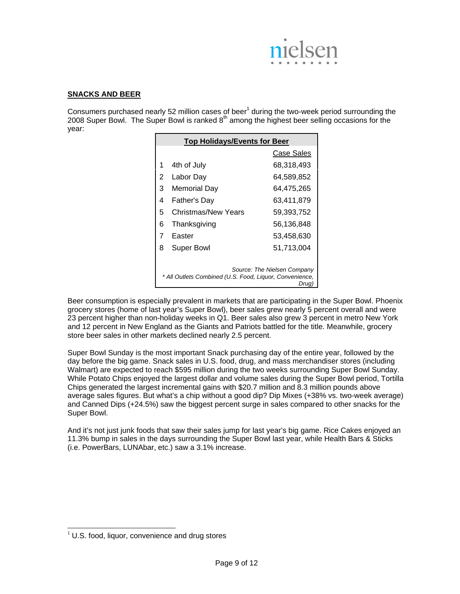

#### **SNACKS AND BEER**

Consumers purchased nearly 52 million cases of beer<sup>1</sup> during the two-week period surrounding the 2008 Super Bowl. The Super Bowl is ranked  $8<sup>th</sup>$  among the highest beer selling occasions for the year:

|   | <b>Top Holidays/Events for Beer</b>                     |                                      |
|---|---------------------------------------------------------|--------------------------------------|
|   |                                                         | Case Sales                           |
| 1 | 4th of July                                             | 68,318,493                           |
| 2 | Labor Day                                               | 64,589,852                           |
| 3 | <b>Memorial Day</b>                                     | 64,475,265                           |
| 4 | Father's Day                                            | 63,411,879                           |
| 5 | Christmas/New Years                                     | 59,393,752                           |
| 6 | Thanksgiving                                            | 56,136,848                           |
| 7 | Easter                                                  | 53,458,630                           |
| 8 | <b>Super Bowl</b>                                       | 51,713,004                           |
|   |                                                         |                                      |
|   | * All Outlets Combined (U.S. Food, Liguor, Convenience, | Source: The Nielsen Company<br>Drug) |

Beer consumption is especially prevalent in markets that are participating in the Super Bowl. Phoenix grocery stores (home of last year's Super Bowl), beer sales grew nearly 5 percent overall and were 23 percent higher than non-holiday weeks in Q1. Beer sales also grew 3 percent in metro New York and 12 percent in New England as the Giants and Patriots battled for the title. Meanwhile, grocery store beer sales in other markets declined nearly 2.5 percent.

Super Bowl Sunday is the most important Snack purchasing day of the entire year, followed by the day before the big game. Snack sales in U.S. food, drug, and mass merchandiser stores (including Walmart) are expected to reach \$595 million during the two weeks surrounding Super Bowl Sunday. While Potato Chips enjoyed the largest dollar and volume sales during the Super Bowl period, Tortilla Chips generated the largest incremental gains with \$20.7 million and 8.3 million pounds above average sales figures. But what's a chip without a good dip? Dip Mixes (+38% vs. two-week average) and Canned Dips (+24.5%) saw the biggest percent surge in sales compared to other snacks for the Super Bowl.

And it's not just junk foods that saw their sales jump for last year's big game. Rice Cakes enjoyed an 11.3% bump in sales in the days surrounding the Super Bowl last year, while Health Bars & Sticks (i.e. PowerBars, LUNAbar, etc.) saw a 3.1% increase.

l

 $<sup>1</sup>$  U.S. food, liquor, convenience and drug stores</sup>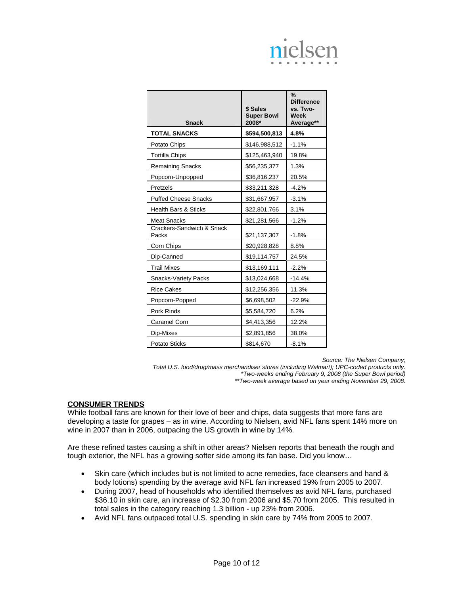| <b>Snack</b>                       | \$ Sales<br><b>Super Bowl</b><br>2008* | %<br><b>Difference</b><br>vs. Two-<br>Week<br>Average** |
|------------------------------------|----------------------------------------|---------------------------------------------------------|
| <b>TOTAL SNACKS</b>                | \$594,500,813                          | 4.8%                                                    |
| Potato Chips                       | \$146,988,512                          | $-1.1%$                                                 |
| <b>Tortilla Chips</b>              | \$125,463,940                          | 19.8%                                                   |
| <b>Remaining Snacks</b>            | \$56,235,377                           | 1.3%                                                    |
| Popcorn-Unpopped                   | \$36,816,237                           | 20.5%                                                   |
| Pretzels                           | \$33,211,328                           | $-4.2%$                                                 |
| <b>Puffed Cheese Snacks</b>        | \$31,667,957                           | $-3.1%$                                                 |
| <b>Health Bars &amp; Sticks</b>    | \$22,801,766                           | 3.1%                                                    |
| <b>Meat Snacks</b>                 | \$21,281,566                           | $-1.2%$                                                 |
| Crackers-Sandwich & Snack<br>Packs | \$21,137,307                           | $-1.8%$                                                 |
| Corn Chips                         | \$20,928,828                           | 8.8%                                                    |
| Dip-Canned                         | \$19,114,757                           | 24.5%                                                   |
| <b>Trail Mixes</b>                 | \$13,169,111                           | $-2.2%$                                                 |
| <b>Snacks-Variety Packs</b>        | \$13,024,668                           | $-14.4%$                                                |
| <b>Rice Cakes</b>                  | \$12,256,356                           | 11.3%                                                   |
| Popcorn-Popped                     | \$6,698,502                            | $-22.9%$                                                |
| Pork Rinds                         | \$5,584,720                            | 6.2%                                                    |
| Caramel Corn                       | \$4,413,356                            | 12.2%                                                   |
| Dip-Mixes                          | \$2,891,856                            | 38.0%                                                   |
| <b>Potato Sticks</b>               | \$814,670                              | $-8.1%$                                                 |

*Source: The Nielsen Company;* 

*Total U.S. food/drug/mass merchandiser stores (including Walmart); UPC-coded products only. \*Two-weeks ending February 9, 2008 (the Super Bowl period) \*\*Two-week average based on year ending November 29, 2008.* 

#### **CONSUMER TRENDS**

While football fans are known for their love of beer and chips, data suggests that more fans are developing a taste for grapes – as in wine. According to Nielsen, avid NFL fans spent 14% more on wine in 2007 than in 2006, outpacing the US growth in wine by 14%.

Are these refined tastes causing a shift in other areas? Nielsen reports that beneath the rough and tough exterior, the NFL has a growing softer side among its fan base. Did you know…

- Skin care (which includes but is not limited to acne remedies, face cleansers and hand & body lotions) spending by the average avid NFL fan increased 19% from 2005 to 2007.
- During 2007, head of households who identified themselves as avid NFL fans, purchased \$36.10 in skin care, an increase of \$2.30 from 2006 and \$5.70 from 2005. This resulted in total sales in the category reaching 1.3 billion - up 23% from 2006.
- Avid NFL fans outpaced total U.S. spending in skin care by 74% from 2005 to 2007.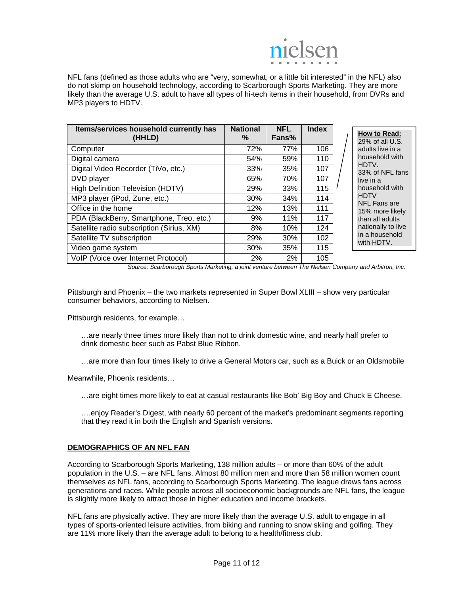

NFL fans (defined as those adults who are "very, somewhat, or a little bit interested" in the NFL) also do not skimp on household technology, according to Scarborough Sports Marketing. They are more likely than the average U.S. adult to have all types of hi-tech items in their household, from DVRs and MP3 players to HDTV.

| Items/services household currently has<br>(HHLD) | <b>National</b><br>℅ | <b>NFL</b><br>Fans% | <b>Index</b> |  |
|--------------------------------------------------|----------------------|---------------------|--------------|--|
| Computer                                         | 72%                  | 77%                 | 106          |  |
| Digital camera                                   | 54%                  | 59%                 | 110          |  |
| Digital Video Recorder (TiVo, etc.)              | 33%                  | 35%                 | 107          |  |
| DVD player                                       | 65%                  | 70%                 | 107          |  |
| <b>High Definition Television (HDTV)</b>         | 29%                  | 33%                 | 115          |  |
| MP3 player (iPod, Zune, etc.)                    | 30%                  | 34%                 | 114          |  |
| Office in the home                               | 12%                  | 13%                 | 111          |  |
| PDA (BlackBerry, Smartphone, Treo, etc.)         | 9%                   | 11%                 | 117          |  |
| Satellite radio subscription (Sirius, XM)        | 8%                   | 10%                 | 124          |  |
| Satellite TV subscription                        | 29%                  | 30%                 | 102          |  |
| Video game system                                | 30%                  | 35%                 | 115          |  |
| VoIP (Voice over Internet Protocol)              | 2%                   | 2%                  | 105          |  |

**How to Read:**  29% of all U.S. lults live in a usehold with HDTV. % of NFL fans e in a usehold with DTV FL Fans are 15% more likely an all adults tionally to live a household th HDTV.

*Source: Scarborough Sports Marketing, a joint venture between The Nielsen Company and Arbitron, Inc.* 

Pittsburgh and Phoenix – the two markets represented in Super Bowl XLIII – show very particular consumer behaviors, according to Nielsen.

Pittsburgh residents, for example…

…are nearly three times more likely than not to drink domestic wine, and nearly half prefer to drink domestic beer such as Pabst Blue Ribbon.

…are more than four times likely to drive a General Motors car, such as a Buick or an Oldsmobile

Meanwhile, Phoenix residents…

…are eight times more likely to eat at casual restaurants like Bob' Big Boy and Chuck E Cheese.

….enjoy Reader's Digest, with nearly 60 percent of the market's predominant segments reporting that they read it in both the English and Spanish versions.

#### **DEMOGRAPHICS OF AN NFL FAN**

According to Scarborough Sports Marketing, 138 million adults – or more than 60% of the adult population in the U.S. – are NFL fans. Almost 80 million men and more than 58 million women count themselves as NFL fans, according to Scarborough Sports Marketing. The league draws fans across generations and races. While people across all socioeconomic backgrounds are NFL fans, the league is slightly more likely to attract those in higher education and income brackets.

NFL fans are physically active. They are more likely than the average U.S. adult to engage in all types of sports-oriented leisure activities, from biking and running to snow skiing and golfing. They are 11% more likely than the average adult to belong to a health/fitness club.